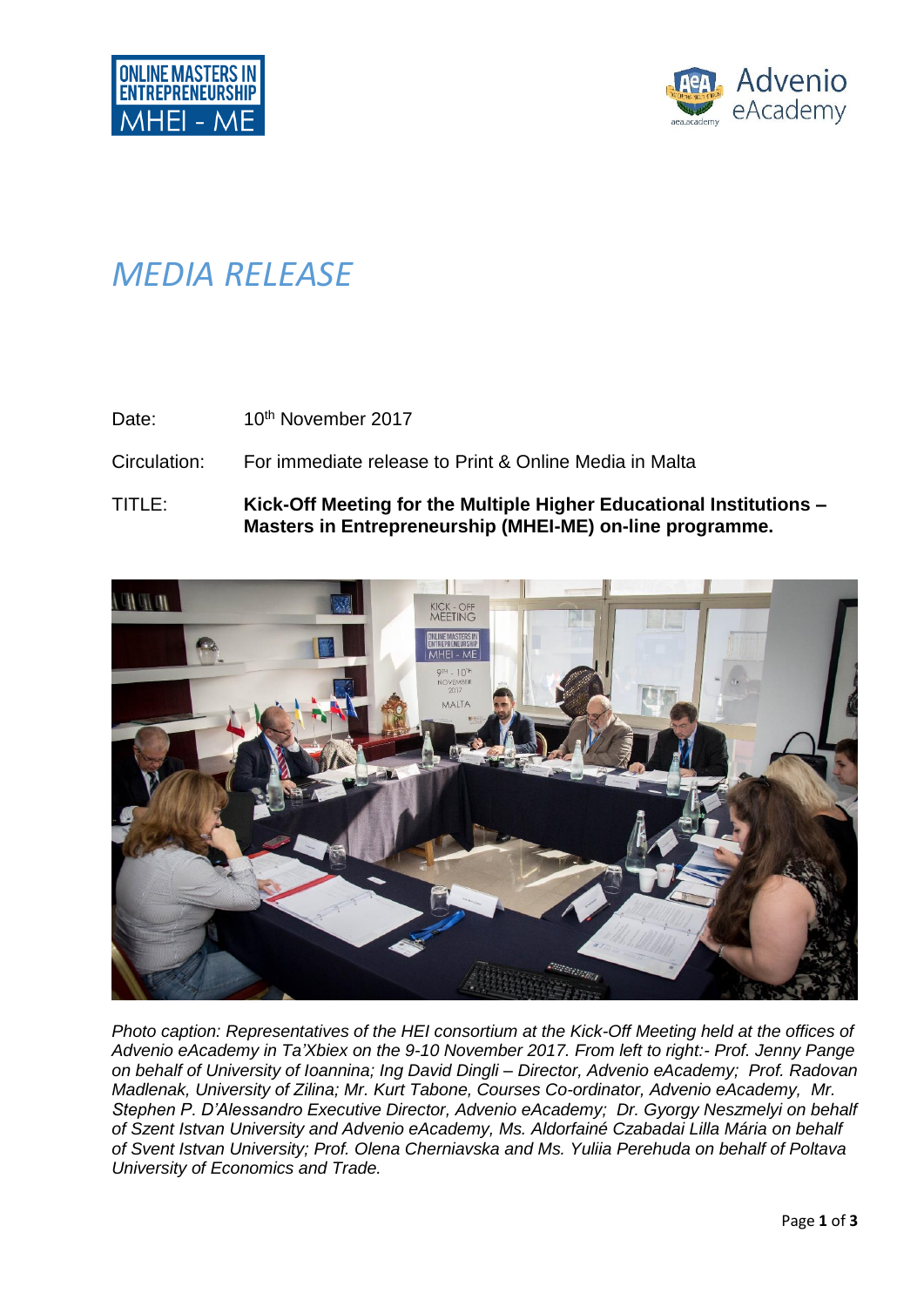

## *MEDIA RELEASE*

Date: 10<sup>th</sup> November 2017

Circulation: For immediate release to Print & Online Media in Malta

TITLE: **Kick-Off Meeting for the Multiple Higher Educational Institutions – Masters in Entrepreneurship (MHEI-ME) on-line programme.**



*Photo caption: Representatives of the HEI consortium at the Kick-Off Meeting held at the offices of Advenio eAcademy in Ta'Xbiex on the 9-10 November 2017. From left to right:- Prof. Jenny Pange on behalf of University of Ioannina; Ing David Dingli – Director, Advenio eAcademy; Prof. Radovan Madlenak, University of Zilina; Mr. Kurt Tabone, Courses Co-ordinator, Advenio eAcademy, Mr. Stephen P. D'Alessandro Executive Director, Advenio eAcademy; Dr. Gyorgy Neszmelyi on behalf of Szent Istvan University and Advenio eAcademy, Ms. Aldorfainé Czabadai Lilla Mária on behalf of Svent Istvan University; Prof. Olena Cherniavska and Ms. Yuliia Perehuda on behalf of Poltava University of Economics and Trade.*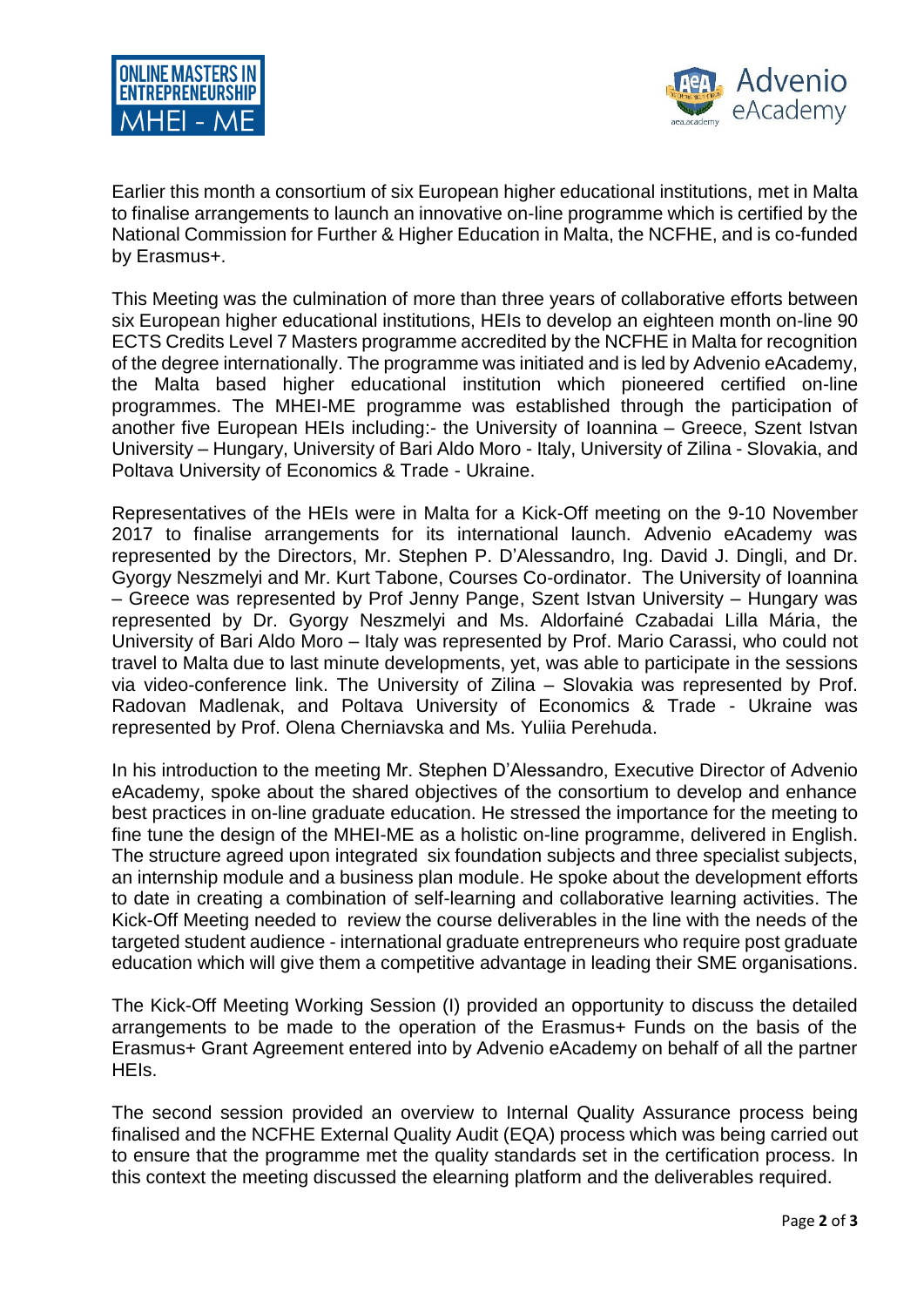



Earlier this month a consortium of six European higher educational institutions, met in Malta to finalise arrangements to launch an innovative on-line programme which is certified by the National Commission for Further & Higher Education in Malta, the NCFHE, and is co-funded by Erasmus+.

This Meeting was the culmination of more than three years of collaborative efforts between six European higher educational institutions, HEIs to develop an eighteen month on-line 90 ECTS Credits Level 7 Masters programme accredited by the NCFHE in Malta for recognition of the degree internationally. The programme was initiated and is led by Advenio eAcademy, the Malta based higher educational institution which pioneered certified on-line programmes. The MHEI-ME programme was established through the participation of another five European HEIs including:- the University of Ioannina – Greece, Szent Istvan University – Hungary, University of Bari Aldo Moro - Italy, University of Zilina - Slovakia, and Poltava University of Economics & Trade - Ukraine.

Representatives of the HEIs were in Malta for a Kick-Off meeting on the 9-10 November 2017 to finalise arrangements for its international launch. Advenio eAcademy was represented by the Directors, Mr. Stephen P. D'Alessandro, Ing. David J. Dingli, and Dr. Gyorgy Neszmelyi and Mr. Kurt Tabone, Courses Co-ordinator. The University of Ioannina – Greece was represented by Prof Jenny Pange, Szent Istvan University – Hungary was represented by Dr. Gyorgy Neszmelyi and Ms. Aldorfainé Czabadai Lilla Mária, the University of Bari Aldo Moro – Italy was represented by Prof. Mario Carassi, who could not travel to Malta due to last minute developments, yet, was able to participate in the sessions via video-conference link. The University of Zilina – Slovakia was represented by Prof. Radovan Madlenak, and Poltava University of Economics & Trade - Ukraine was represented by Prof. Olena Cherniavska and Ms. Yuliia Perehuda.

In his introduction to the meeting Mr. Stephen D'Alessandro, Executive Director of Advenio eAcademy, spoke about the shared objectives of the consortium to develop and enhance best practices in on-line graduate education. He stressed the importance for the meeting to fine tune the design of the MHEI-ME as a holistic on-line programme, delivered in English. The structure agreed upon integrated six foundation subjects and three specialist subjects, an internship module and a business plan module. He spoke about the development efforts to date in creating a combination of self-learning and collaborative learning activities. The Kick-Off Meeting needed to review the course deliverables in the line with the needs of the targeted student audience - international graduate entrepreneurs who require post graduate education which will give them a competitive advantage in leading their SME organisations.

The Kick-Off Meeting Working Session (I) provided an opportunity to discuss the detailed arrangements to be made to the operation of the Erasmus+ Funds on the basis of the Erasmus+ Grant Agreement entered into by Advenio eAcademy on behalf of all the partner HEIs.

The second session provided an overview to Internal Quality Assurance process being finalised and the NCFHE External Quality Audit (EQA) process which was being carried out to ensure that the programme met the quality standards set in the certification process. In this context the meeting discussed the elearning platform and the deliverables required.